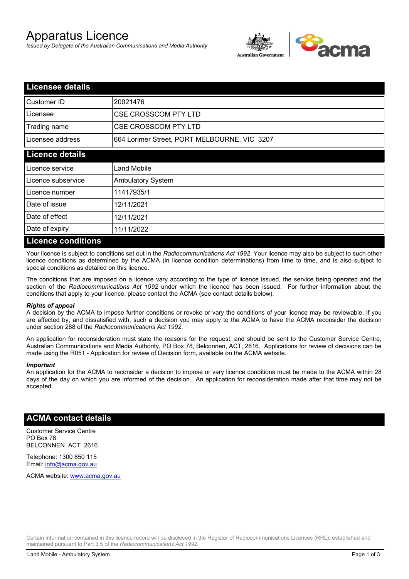# Apparatus Licence

*Issued by Delegate of the Australian Communications and Media Authority*



| <b>Licensee details</b>   |                                              |  |
|---------------------------|----------------------------------------------|--|
| Customer ID               | 20021476                                     |  |
| Licensee                  | <b>CSE CROSSCOM PTY LTD</b>                  |  |
| Trading name              | <b>CSE CROSSCOM PTY LTD</b>                  |  |
| Licensee address          | 664 Lorimer Street, PORT MELBOURNE, VIC 3207 |  |
| <b>Licence details</b>    |                                              |  |
| Licence service           | Land Mobile                                  |  |
| Licence subservice        | <b>Ambulatory System</b>                     |  |
| Licence number            | 11417935/1                                   |  |
| Date of issue             | 12/11/2021                                   |  |
| Date of effect            | 12/11/2021                                   |  |
| Date of expiry            | 11/11/2022                                   |  |
| <b>Licence conditions</b> |                                              |  |

Your licence is subject to conditions set out in the *Radiocommunications Act 1992*. Your licence may also be subject to such other licence conditions as determined by the ACMA (in licence condition determinations) from time to time, and is also subject to special conditions as detailed on this licence.

The conditions that are imposed on a licence vary according to the type of licence issued, the service being operated and the section of the *Radiocommunications Act 1992* under which the licence has been issued. For further information about the conditions that apply to your licence, please contact the ACMA (see contact details below).

### *Rights of appeal*

A decision by the ACMA to impose further conditions or revoke or vary the conditions of your licence may be reviewable. If you are affected by, and dissatisfied with, such a decision you may apply to the ACMA to have the ACMA reconsider the decision under section 288 of the *Radiocommunications Act 1992*.

An application for reconsideration must state the reasons for the request, and should be sent to the Customer Service Centre, Australian Communications and Media Authority, PO Box 78, Belconnen, ACT, 2616. Applications for review of decisions can be made using the R051 - Application for review of Decision form, available on the ACMA website.

#### *Important*

An application for the ACMA to reconsider a decision to impose or vary licence conditions must be made to the ACMA within 28 days of the day on which you are informed of the decision. An application for reconsideration made after that time may not be accepted.

## **ACMA contact details**

Customer Service Centre PO Box 78 BELCONNEN ACT 2616

Telephone: 1300 850 115 Email: info@acma.gov.au

ACMA website: www.acma.gov.au

Certain information contained in this licence record will be disclosed in the Register of Radiocommunications Licences (RRL), established and maintained pursuant to Part 3.5 of the *Radiocommunications Act 1992.*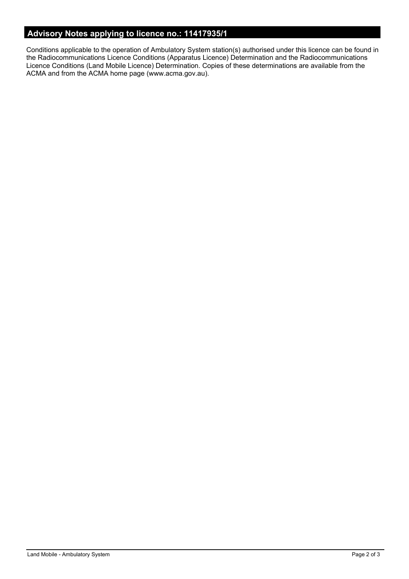# **Advisory Notes applying to licence no.: 11417935/1**

Conditions applicable to the operation of Ambulatory System station(s) authorised under this licence can be found in the Radiocommunications Licence Conditions (Apparatus Licence) Determination and the Radiocommunications Licence Conditions (Land Mobile Licence) Determination. Copies of these determinations are available from the ACMA and from the ACMA home page (www.acma.gov.au).